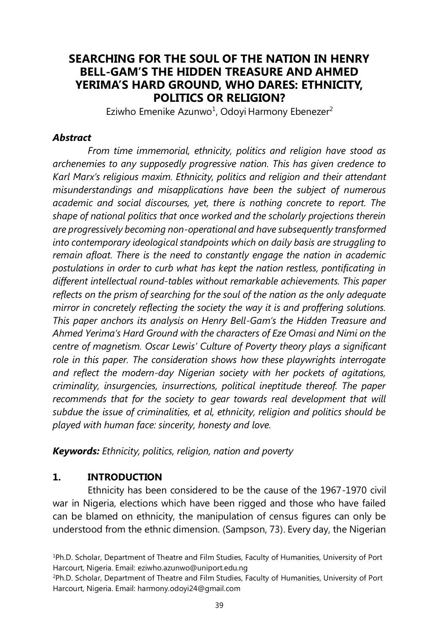# **SEARCHING FOR THE SOUL OF THE NATION IN HENRY BELL-GAM'S THE HIDDEN TREASURE AND AHMED YERIMA'S HARD GROUND, WHO DARES: ETHNICITY, POLITICS OR RELIGION?**

Eziwho Emenike Azunwo<sup>1</sup>, Odoyi Harmony Ebenezer<sup>2</sup>

#### *Abstract*

*From time immemorial, ethnicity, politics and religion have stood as archenemies to any supposedly progressive nation. This has given credence to Karl Marx's religious maxim. Ethnicity, politics and religion and their attendant misunderstandings and misapplications have been the subject of numerous academic and social discourses, yet, there is nothing concrete to report. The shape of national politics that once worked and the scholarly projections therein are progressively becoming non-operational and have subsequently transformed into contemporary ideological standpoints which on daily basis are struggling to remain afloat. There is the need to constantly engage the nation in academic postulations in order to curb what has kept the nation restless, pontificating in different intellectual round-tables without remarkable achievements. This paper reflects on the prism of searching for the soul of the nation as the only adequate mirror in concretely reflecting the society the way it is and proffering solutions. This paper anchors its analysis on Henry Bell-Gam's the Hidden Treasure and Ahmed Yerima's Hard Ground with the characters of Eze Omasi and Nimi on the centre of magnetism. Oscar Lewis' Culture of Poverty theory plays a significant role in this paper. The consideration shows how these playwrights interrogate and reflect the modern-day Nigerian society with her pockets of agitations, criminality, insurgencies, insurrections, political ineptitude thereof. The paper*  recommends that for the society to gear towards real development that will *subdue the issue of criminalities, et al, ethnicity, religion and politics should be played with human face: sincerity, honesty and love.* 

*Keywords: Ethnicity, politics, religion, nation and poverty* 

### **1. INTRODUCTION**

Ethnicity has been considered to be the cause of the 1967-1970 civil war in Nigeria, elections which have been rigged and those who have failed can be blamed on ethnicity, the manipulation of census figures can only be understood from the ethnic dimension. (Sampson, 73). Every day, the Nigerian

<sup>1</sup>Ph.D. Scholar, Department of Theatre and Film Studies, Faculty of Humanities, University of Port Harcourt, Nigeria. Email: eziwho.azunwo@uniport.edu.ng

<sup>2</sup>Ph.D. Scholar, Department of Theatre and Film Studies, Faculty of Humanities, University of Port Harcourt, Nigeria. Email: harmony.odoyi24@gmail.com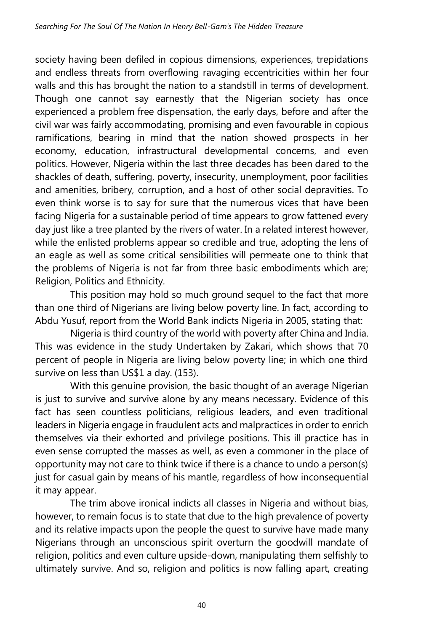society having been defiled in copious dimensions, experiences, trepidations and endless threats from overflowing ravaging eccentricities within her four walls and this has brought the nation to a standstill in terms of development. Though one cannot say earnestly that the Nigerian society has once experienced a problem free dispensation, the early days, before and after the civil war was fairly accommodating, promising and even favourable in copious ramifications, bearing in mind that the nation showed prospects in her economy, education, infrastructural developmental concerns, and even politics. However, Nigeria within the last three decades has been dared to the shackles of death, suffering, poverty, insecurity, unemployment, poor facilities and amenities, bribery, corruption, and a host of other social depravities. To even think worse is to say for sure that the numerous vices that have been facing Nigeria for a sustainable period of time appears to grow fattened every day just like a tree planted by the rivers of water. In a related interest however, while the enlisted problems appear so credible and true, adopting the lens of an eagle as well as some critical sensibilities will permeate one to think that the problems of Nigeria is not far from three basic embodiments which are; Religion, Politics and Ethnicity.

This position may hold so much ground sequel to the fact that more than one third of Nigerians are living below poverty line. In fact, according to Abdu Yusuf, report from the World Bank indicts Nigeria in 2005, stating that:

Nigeria is third country of the world with poverty after China and India. This was evidence in the study Undertaken by Zakari, which shows that 70 percent of people in Nigeria are living below poverty line; in which one third survive on less than US\$1 a day. (153).

With this genuine provision, the basic thought of an average Nigerian is just to survive and survive alone by any means necessary. Evidence of this fact has seen countless politicians, religious leaders, and even traditional leaders in Nigeria engage in fraudulent acts and malpractices in order to enrich themselves via their exhorted and privilege positions. This ill practice has in even sense corrupted the masses as well, as even a commoner in the place of opportunity may not care to think twice if there is a chance to undo a person(s) just for casual gain by means of his mantle, regardless of how inconsequential it may appear.

The trim above ironical indicts all classes in Nigeria and without bias, however, to remain focus is to state that due to the high prevalence of poverty and its relative impacts upon the people the quest to survive have made many Nigerians through an unconscious spirit overturn the goodwill mandate of religion, politics and even culture upside-down, manipulating them selfishly to ultimately survive. And so, religion and politics is now falling apart, creating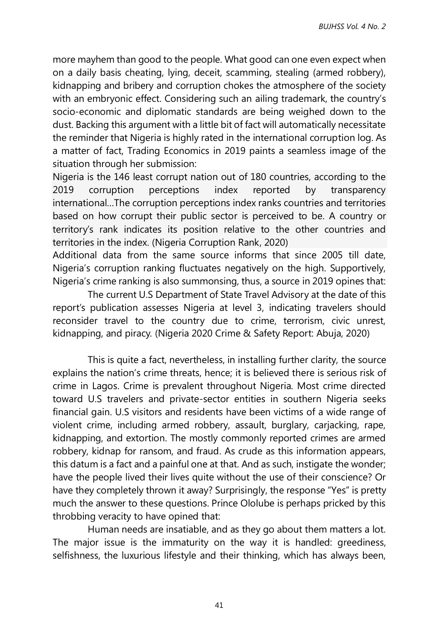more mayhem than good to the people. What good can one even expect when on a daily basis cheating, lying, deceit, scamming, stealing (armed robbery), kidnapping and bribery and corruption chokes the atmosphere of the society with an embryonic effect. Considering such an ailing trademark, the country's socio-economic and diplomatic standards are being weighed down to the dust. Backing this argument with a little bit of fact will automatically necessitate the reminder that Nigeria is highly rated in the international corruption log. As a matter of fact, Trading Economics in 2019 paints a seamless image of the situation through her submission:

Nigeria is the 146 least corrupt nation out of 180 countries, according to the 2019 corruption perceptions index reported by transparency international…The corruption perceptions index ranks countries and territories based on how corrupt their public sector is perceived to be. A country or territory's rank indicates its position relative to the other countries and territories in the index. (Nigeria Corruption Rank, 2020)

Additional data from the same source informs that since 2005 till date, Nigeria's corruption ranking fluctuates negatively on the high. Supportively, Nigeria's crime ranking is also summonsing, thus, a source in 2019 opines that:

The current U.S Department of State Travel Advisory at the date of this report's publication assesses Nigeria at level 3, indicating travelers should reconsider travel to the country due to crime, terrorism, civic unrest, kidnapping, and piracy. (Nigeria 2020 Crime & Safety Report: Abuja, 2020)

This is quite a fact, nevertheless, in installing further clarity, the source explains the nation's crime threats, hence; it is believed there is serious risk of crime in Lagos. Crime is prevalent throughout Nigeria. Most crime directed toward U.S travelers and private-sector entities in southern Nigeria seeks financial gain. U.S visitors and residents have been victims of a wide range of violent crime, including armed robbery, assault, burglary, carjacking, rape, kidnapping, and extortion. The mostly commonly reported crimes are armed robbery, kidnap for ransom, and fraud. As crude as this information appears, this datum is a fact and a painful one at that. And as such, instigate the wonder; have the people lived their lives quite without the use of their conscience? Or have they completely thrown it away? Surprisingly, the response "Yes" is pretty much the answer to these questions. Prince Ololube is perhaps pricked by this throbbing veracity to have opined that:

Human needs are insatiable, and as they go about them matters a lot. The major issue is the immaturity on the way it is handled: greediness, selfishness, the luxurious lifestyle and their thinking, which has always been,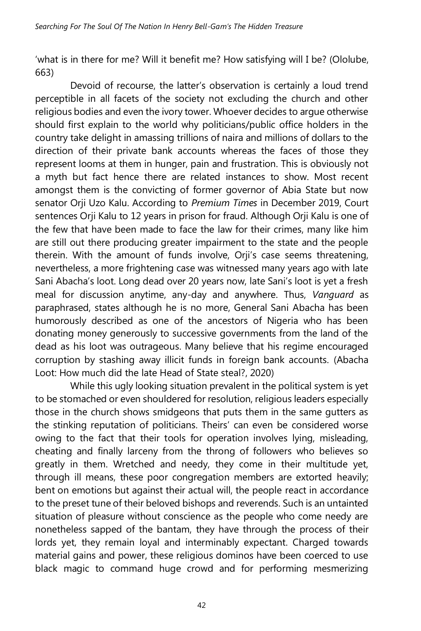'what is in there for me? Will it benefit me? How satisfying will I be? (Ololube, 663)

Devoid of recourse, the latter's observation is certainly a loud trend perceptible in all facets of the society not excluding the church and other religious bodies and even the ivory tower. Whoever decides to argue otherwise should first explain to the world why politicians/public office holders in the country take delight in amassing trillions of naira and millions of dollars to the direction of their private bank accounts whereas the faces of those they represent looms at them in hunger, pain and frustration. This is obviously not a myth but fact hence there are related instances to show. Most recent amongst them is the convicting of former governor of Abia State but now senator Orji Uzo Kalu. According to *Premium Times* in December 2019, Court sentences Orji Kalu to 12 years in prison for fraud. Although Orji Kalu is one of the few that have been made to face the law for their crimes, many like him are still out there producing greater impairment to the state and the people therein. With the amount of funds involve, Orji's case seems threatening, nevertheless, a more frightening case was witnessed many years ago with late Sani Abacha's loot. Long dead over 20 years now, late Sani's loot is yet a fresh meal for discussion anytime, any-day and anywhere. Thus, *Vanguard* as paraphrased, states although he is no more, General Sani Abacha has been humorously described as one of the ancestors of Nigeria who has been donating money generously to successive governments from the land of the dead as his loot was outrageous. Many believe that his regime encouraged corruption by stashing away illicit funds in foreign bank accounts. (Abacha Loot: How much did the late Head of State steal?, 2020)

While this ugly looking situation prevalent in the political system is yet to be stomached or even shouldered for resolution, religious leaders especially those in the church shows smidgeons that puts them in the same gutters as the stinking reputation of politicians. Theirs' can even be considered worse owing to the fact that their tools for operation involves lying, misleading, cheating and finally larceny from the throng of followers who believes so greatly in them. Wretched and needy, they come in their multitude yet, through ill means, these poor congregation members are extorted heavily; bent on emotions but against their actual will, the people react in accordance to the preset tune of their beloved bishops and reverends. Such is an untainted situation of pleasure without conscience as the people who come needy are nonetheless sapped of the bantam, they have through the process of their lords yet, they remain loyal and interminably expectant. Charged towards material gains and power, these religious dominos have been coerced to use black magic to command huge crowd and for performing mesmerizing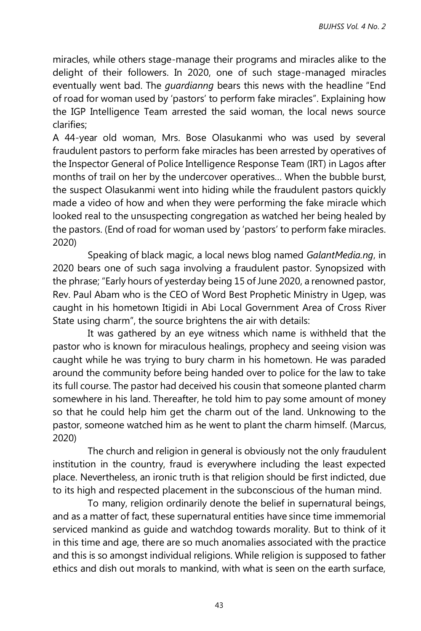miracles, while others stage-manage their programs and miracles alike to the delight of their followers. In 2020, one of such stage-managed miracles eventually went bad. The *guardianng* bears this news with the headline "End of road for woman used by 'pastors' to perform fake miracles". Explaining how the IGP Intelligence Team arrested the said woman, the local news source clarifies;

A 44-year old woman, Mrs. Bose Olasukanmi who was used by several fraudulent pastors to perform fake miracles has been arrested by operatives of the Inspector General of Police Intelligence Response Team (IRT) in Lagos after months of trail on her by the undercover operatives… When the bubble burst, the suspect Olasukanmi went into hiding while the fraudulent pastors quickly made a video of how and when they were performing the fake miracle which looked real to the unsuspecting congregation as watched her being healed by the pastors. (End of road for woman used by 'pastors' to perform fake miracles. 2020)

Speaking of black magic, a local news blog named *GalantMedia.ng*, in 2020 bears one of such saga involving a fraudulent pastor. Synopsized with the phrase; "Early hours of yesterday being 15 of June 2020, a renowned pastor, Rev. Paul Abam who is the CEO of Word Best Prophetic Ministry in Ugep, was caught in his hometown Itigidi in Abi Local Government Area of Cross River State using charm", the source brightens the air with details:

It was gathered by an eye witness which name is withheld that the pastor who is known for miraculous healings, prophecy and seeing vision was caught while he was trying to bury charm in his hometown. He was paraded around the community before being handed over to police for the law to take its full course. The pastor had deceived his cousin that someone planted charm somewhere in his land. Thereafter, he told him to pay some amount of money so that he could help him get the charm out of the land. Unknowing to the pastor, someone watched him as he went to plant the charm himself. (Marcus, 2020)

The church and religion in general is obviously not the only fraudulent institution in the country, fraud is everywhere including the least expected place. Nevertheless, an ironic truth is that religion should be first indicted, due to its high and respected placement in the subconscious of the human mind.

To many, religion ordinarily denote the belief in supernatural beings, and as a matter of fact, these supernatural entities have since time immemorial serviced mankind as guide and watchdog towards morality. But to think of it in this time and age, there are so much anomalies associated with the practice and this is so amongst individual religions. While religion is supposed to father ethics and dish out morals to mankind, with what is seen on the earth surface,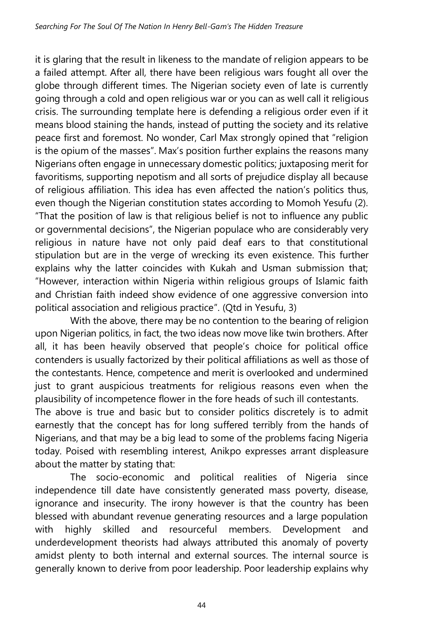it is glaring that the result in likeness to the mandate of religion appears to be a failed attempt. After all, there have been religious wars fought all over the globe through different times. The Nigerian society even of late is currently going through a cold and open religious war or you can as well call it religious crisis. The surrounding template here is defending a religious order even if it means blood staining the hands, instead of putting the society and its relative peace first and foremost. No wonder, Carl Max strongly opined that "religion is the opium of the masses". Max's position further explains the reasons many Nigerians often engage in unnecessary domestic politics; juxtaposing merit for favoritisms, supporting nepotism and all sorts of prejudice display all because of religious affiliation. This idea has even affected the nation's politics thus, even though the Nigerian constitution states according to Momoh Yesufu (2). "That the position of law is that religious belief is not to influence any public or governmental decisions", the Nigerian populace who are considerably very religious in nature have not only paid deaf ears to that constitutional stipulation but are in the verge of wrecking its even existence. This further explains why the latter coincides with Kukah and Usman submission that; "However, interaction within Nigeria within religious groups of Islamic faith and Christian faith indeed show evidence of one aggressive conversion into political association and religious practice". (Qtd in Yesufu, 3)

With the above, there may be no contention to the bearing of religion upon Nigerian politics, in fact, the two ideas now move like twin brothers. After all, it has been heavily observed that people's choice for political office contenders is usually factorized by their political affiliations as well as those of the contestants. Hence, competence and merit is overlooked and undermined just to grant auspicious treatments for religious reasons even when the plausibility of incompetence flower in the fore heads of such ill contestants. The above is true and basic but to consider politics discretely is to admit earnestly that the concept has for long suffered terribly from the hands of Nigerians, and that may be a big lead to some of the problems facing Nigeria today. Poised with resembling interest, Anikpo expresses arrant displeasure about the matter by stating that:

The socio-economic and political realities of Nigeria since independence till date have consistently generated mass poverty, disease, ignorance and insecurity. The irony however is that the country has been blessed with abundant revenue generating resources and a large population with highly skilled and resourceful members. Development and underdevelopment theorists had always attributed this anomaly of poverty amidst plenty to both internal and external sources. The internal source is generally known to derive from poor leadership. Poor leadership explains why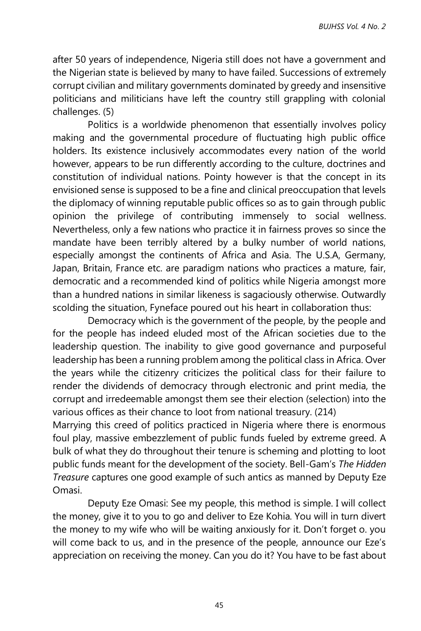after 50 years of independence, Nigeria still does not have a government and the Nigerian state is believed by many to have failed. Successions of extremely corrupt civilian and military governments dominated by greedy and insensitive politicians and militicians have left the country still grappling with colonial challenges. (5)

Politics is a worldwide phenomenon that essentially involves policy making and the governmental procedure of fluctuating high public office holders. Its existence inclusively accommodates every nation of the world however, appears to be run differently according to the culture, doctrines and constitution of individual nations. Pointy however is that the concept in its envisioned sense is supposed to be a fine and clinical preoccupation that levels the diplomacy of winning reputable public offices so as to gain through public opinion the privilege of contributing immensely to social wellness. Nevertheless, only a few nations who practice it in fairness proves so since the mandate have been terribly altered by a bulky number of world nations, especially amongst the continents of Africa and Asia. The U.S.A, Germany, Japan, Britain, France etc. are paradigm nations who practices a mature, fair, democratic and a recommended kind of politics while Nigeria amongst more than a hundred nations in similar likeness is sagaciously otherwise. Outwardly scolding the situation, Fyneface poured out his heart in collaboration thus:

Democracy which is the government of the people, by the people and for the people has indeed eluded most of the African societies due to the leadership question. The inability to give good governance and purposeful leadership has been a running problem among the political class in Africa. Over the years while the citizenry criticizes the political class for their failure to render the dividends of democracy through electronic and print media, the corrupt and irredeemable amongst them see their election (selection) into the various offices as their chance to loot from national treasury. (214)

Marrying this creed of politics practiced in Nigeria where there is enormous foul play, massive embezzlement of public funds fueled by extreme greed. A bulk of what they do throughout their tenure is scheming and plotting to loot public funds meant for the development of the society. Bell-Gam's *The Hidden Treasure* captures one good example of such antics as manned by Deputy Eze Omasi.

Deputy Eze Omasi: See my people, this method is simple. I will collect the money, give it to you to go and deliver to Eze Kohia. You will in turn divert the money to my wife who will be waiting anxiously for it. Don't forget o. you will come back to us, and in the presence of the people, announce our Eze's appreciation on receiving the money. Can you do it? You have to be fast about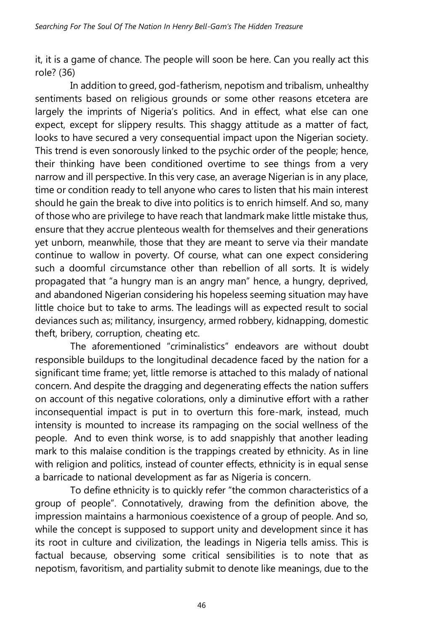it, it is a game of chance. The people will soon be here. Can you really act this role? (36)

In addition to greed, god-fatherism, nepotism and tribalism, unhealthy sentiments based on religious grounds or some other reasons etcetera are largely the imprints of Nigeria's politics. And in effect, what else can one expect, except for slippery results. This shaggy attitude as a matter of fact, looks to have secured a very consequential impact upon the Nigerian society. This trend is even sonorously linked to the psychic order of the people; hence, their thinking have been conditioned overtime to see things from a very narrow and ill perspective. In this very case, an average Nigerian is in any place, time or condition ready to tell anyone who cares to listen that his main interest should he gain the break to dive into politics is to enrich himself. And so, many of those who are privilege to have reach that landmark make little mistake thus, ensure that they accrue plenteous wealth for themselves and their generations yet unborn, meanwhile, those that they are meant to serve via their mandate continue to wallow in poverty. Of course, what can one expect considering such a doomful circumstance other than rebellion of all sorts. It is widely propagated that "a hungry man is an angry man" hence, a hungry, deprived, and abandoned Nigerian considering his hopeless seeming situation may have little choice but to take to arms. The leadings will as expected result to social deviances such as; militancy, insurgency, armed robbery, kidnapping, domestic theft, bribery, corruption, cheating etc.

The aforementioned "criminalistics" endeavors are without doubt responsible buildups to the longitudinal decadence faced by the nation for a significant time frame; yet, little remorse is attached to this malady of national concern. And despite the dragging and degenerating effects the nation suffers on account of this negative colorations, only a diminutive effort with a rather inconsequential impact is put in to overturn this fore-mark, instead, much intensity is mounted to increase its rampaging on the social wellness of the people. And to even think worse, is to add snappishly that another leading mark to this malaise condition is the trappings created by ethnicity. As in line with religion and politics, instead of counter effects, ethnicity is in equal sense a barricade to national development as far as Nigeria is concern.

To define ethnicity is to quickly refer "the common characteristics of a group of people". Connotatively, drawing from the definition above, the impression maintains a harmonious coexistence of a group of people. And so, while the concept is supposed to support unity and development since it has its root in culture and civilization, the leadings in Nigeria tells amiss. This is factual because, observing some critical sensibilities is to note that as nepotism, favoritism, and partiality submit to denote like meanings, due to the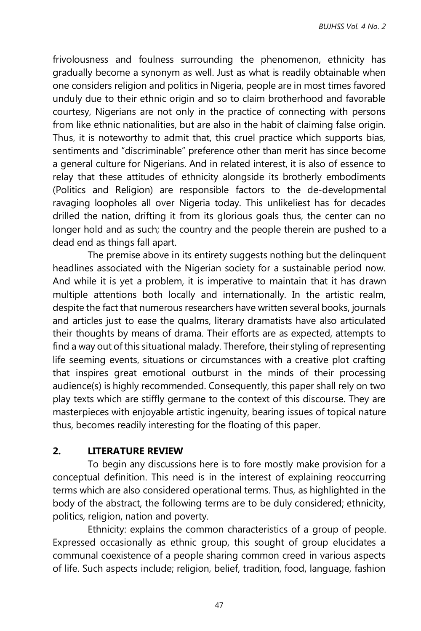frivolousness and foulness surrounding the phenomenon, ethnicity has gradually become a synonym as well. Just as what is readily obtainable when one considers religion and politics in Nigeria, people are in most times favored unduly due to their ethnic origin and so to claim brotherhood and favorable courtesy, Nigerians are not only in the practice of connecting with persons from like ethnic nationalities, but are also in the habit of claiming false origin. Thus, it is noteworthy to admit that, this cruel practice which supports bias, sentiments and "discriminable" preference other than merit has since become a general culture for Nigerians. And in related interest, it is also of essence to relay that these attitudes of ethnicity alongside its brotherly embodiments (Politics and Religion) are responsible factors to the de-developmental ravaging loopholes all over Nigeria today. This unlikeliest has for decades drilled the nation, drifting it from its glorious goals thus, the center can no longer hold and as such; the country and the people therein are pushed to a dead end as things fall apart.

The premise above in its entirety suggests nothing but the delinquent headlines associated with the Nigerian society for a sustainable period now. And while it is yet a problem, it is imperative to maintain that it has drawn multiple attentions both locally and internationally. In the artistic realm, despite the fact that numerous researchers have written several books, journals and articles just to ease the qualms, literary dramatists have also articulated their thoughts by means of drama. Their efforts are as expected, attempts to find a way out of this situational malady. Therefore, their styling of representing life seeming events, situations or circumstances with a creative plot crafting that inspires great emotional outburst in the minds of their processing audience(s) is highly recommended. Consequently, this paper shall rely on two play texts which are stiffly germane to the context of this discourse. They are masterpieces with enjoyable artistic ingenuity, bearing issues of topical nature thus, becomes readily interesting for the floating of this paper.

### **2. LITERATURE REVIEW**

To begin any discussions here is to fore mostly make provision for a conceptual definition. This need is in the interest of explaining reoccurring terms which are also considered operational terms. Thus, as highlighted in the body of the abstract, the following terms are to be duly considered; ethnicity, politics, religion, nation and poverty.

Ethnicity: explains the common characteristics of a group of people. Expressed occasionally as ethnic group, this sought of group elucidates a communal coexistence of a people sharing common creed in various aspects of life. Such aspects include; religion, belief, tradition, food, language, fashion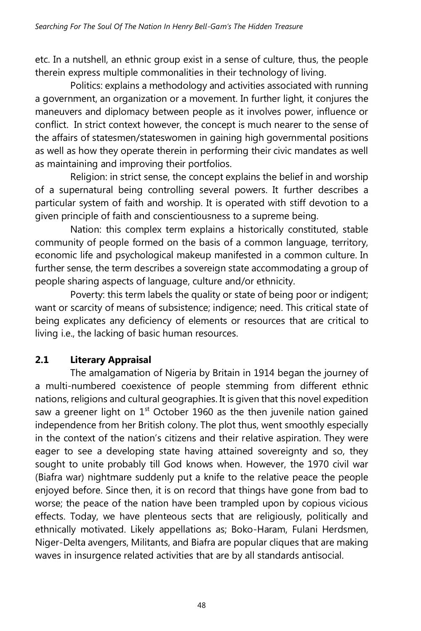etc. In a nutshell, an ethnic group exist in a sense of culture, thus, the people therein express multiple commonalities in their technology of living.

Politics: explains a methodology and activities associated with running a government, an organization or a movement. In further light, it conjures the maneuvers and diplomacy between people as it involves power, influence or conflict. In strict context however, the concept is much nearer to the sense of the affairs of statesmen/stateswomen in gaining high governmental positions as well as how they operate therein in performing their civic mandates as well as maintaining and improving their portfolios.

Religion: in strict sense, the concept explains the belief in and worship of a supernatural being controlling several powers. It further describes a particular system of faith and worship. It is operated with stiff devotion to a given principle of faith and conscientiousness to a supreme being.

Nation: this complex term explains a historically constituted, stable community of people formed on the basis of a common language, territory, economic life and psychological makeup manifested in a common culture. In further sense, the term describes a sovereign state accommodating a group of people sharing aspects of language, culture and/or ethnicity.

Poverty: this term labels the quality or state of being poor or indigent; want or scarcity of means of subsistence; indigence; need. This critical state of being explicates any deficiency of elements or resources that are critical to living i.e., the lacking of basic human resources.

## **2.1 Literary Appraisal**

The amalgamation of Nigeria by Britain in 1914 began the journey of a multi-numbered coexistence of people stemming from different ethnic nations, religions and cultural geographies. It is given that this novel expedition saw a greener light on  $1<sup>st</sup>$  October 1960 as the then juvenile nation gained independence from her British colony. The plot thus, went smoothly especially in the context of the nation's citizens and their relative aspiration. They were eager to see a developing state having attained sovereignty and so, they sought to unite probably till God knows when. However, the 1970 civil war (Biafra war) nightmare suddenly put a knife to the relative peace the people enjoyed before. Since then, it is on record that things have gone from bad to worse; the peace of the nation have been trampled upon by copious vicious effects. Today, we have plenteous sects that are religiously, politically and ethnically motivated. Likely appellations as; Boko-Haram, Fulani Herdsmen, Niger-Delta avengers, Militants, and Biafra are popular cliques that are making waves in insurgence related activities that are by all standards antisocial.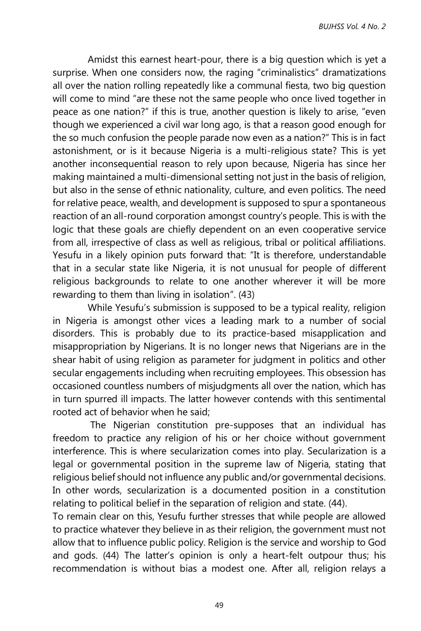Amidst this earnest heart-pour, there is a big question which is yet a surprise. When one considers now, the raging "criminalistics" dramatizations all over the nation rolling repeatedly like a communal fiesta, two big question will come to mind "are these not the same people who once lived together in peace as one nation?" if this is true, another question is likely to arise, "even though we experienced a civil war long ago, is that a reason good enough for the so much confusion the people parade now even as a nation?" This is in fact astonishment, or is it because Nigeria is a multi-religious state? This is yet another inconsequential reason to rely upon because, Nigeria has since her making maintained a multi-dimensional setting not just in the basis of religion, but also in the sense of ethnic nationality, culture, and even politics. The need for relative peace, wealth, and development is supposed to spur a spontaneous reaction of an all-round corporation amongst country's people. This is with the logic that these goals are chiefly dependent on an even cooperative service from all, irrespective of class as well as religious, tribal or political affiliations. Yesufu in a likely opinion puts forward that: "It is therefore, understandable that in a secular state like Nigeria, it is not unusual for people of different religious backgrounds to relate to one another wherever it will be more rewarding to them than living in isolation". (43)

While Yesufu's submission is supposed to be a typical reality, religion in Nigeria is amongst other vices a leading mark to a number of social disorders. This is probably due to its practice-based misapplication and misappropriation by Nigerians. It is no longer news that Nigerians are in the shear habit of using religion as parameter for judgment in politics and other secular engagements including when recruiting employees. This obsession has occasioned countless numbers of misjudgments all over the nation, which has in turn spurred ill impacts. The latter however contends with this sentimental rooted act of behavior when he said;

 The Nigerian constitution pre-supposes that an individual has freedom to practice any religion of his or her choice without government interference. This is where secularization comes into play. Secularization is a legal or governmental position in the supreme law of Nigeria, stating that religious belief should not influence any public and/or governmental decisions. In other words, secularization is a documented position in a constitution relating to political belief in the separation of religion and state. (44).

To remain clear on this, Yesufu further stresses that while people are allowed to practice whatever they believe in as their religion, the government must not allow that to influence public policy. Religion is the service and worship to God and gods. (44) The latter's opinion is only a heart-felt outpour thus; his recommendation is without bias a modest one. After all, religion relays a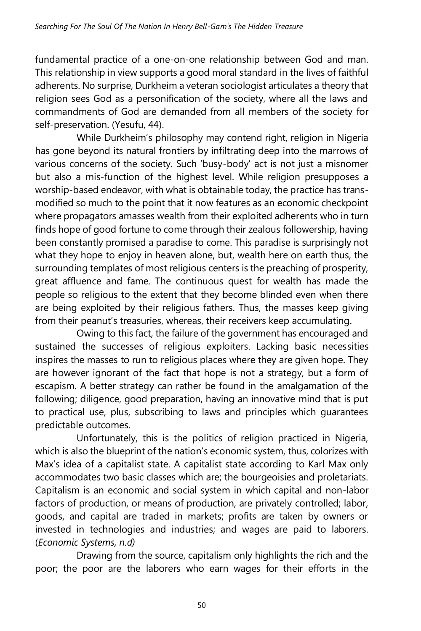fundamental practice of a one-on-one relationship between God and man. This relationship in view supports a good moral standard in the lives of faithful adherents. No surprise, Durkheim a veteran sociologist articulates a theory that religion sees God as a personification of the society, where all the laws and commandments of God are demanded from all members of the society for self-preservation. (Yesufu, 44).

While Durkheim's philosophy may contend right, religion in Nigeria has gone beyond its natural frontiers by infiltrating deep into the marrows of various concerns of the society. Such 'busy-body' act is not just a misnomer but also a mis-function of the highest level. While religion presupposes a worship-based endeavor, with what is obtainable today, the practice has transmodified so much to the point that it now features as an economic checkpoint where propagators amasses wealth from their exploited adherents who in turn finds hope of good fortune to come through their zealous followership, having been constantly promised a paradise to come. This paradise is surprisingly not what they hope to enjoy in heaven alone, but, wealth here on earth thus, the surrounding templates of most religious centers is the preaching of prosperity, great affluence and fame. The continuous quest for wealth has made the people so religious to the extent that they become blinded even when there are being exploited by their religious fathers. Thus, the masses keep giving from their peanut's treasuries, whereas, their receivers keep accumulating.

Owing to this fact, the failure of the government has encouraged and sustained the successes of religious exploiters. Lacking basic necessities inspires the masses to run to religious places where they are given hope. They are however ignorant of the fact that hope is not a strategy, but a form of escapism. A better strategy can rather be found in the amalgamation of the following; diligence, good preparation, having an innovative mind that is put to practical use, plus, subscribing to laws and principles which guarantees predictable outcomes.

Unfortunately, this is the politics of religion practiced in Nigeria, which is also the blueprint of the nation's economic system, thus, colorizes with Max's idea of a capitalist state. A capitalist state according to Karl Max only accommodates two basic classes which are; the bourgeoisies and proletariats. Capitalism is an economic and social system in which capital and non-labor factors of production, or means of production, are privately controlled; labor, goods, and capital are traded in markets; profits are taken by owners or invested in technologies and industries; and wages are paid to laborers. (*Economic Systems, n.d)*

Drawing from the source, capitalism only highlights the rich and the poor; the poor are the laborers who earn wages for their efforts in the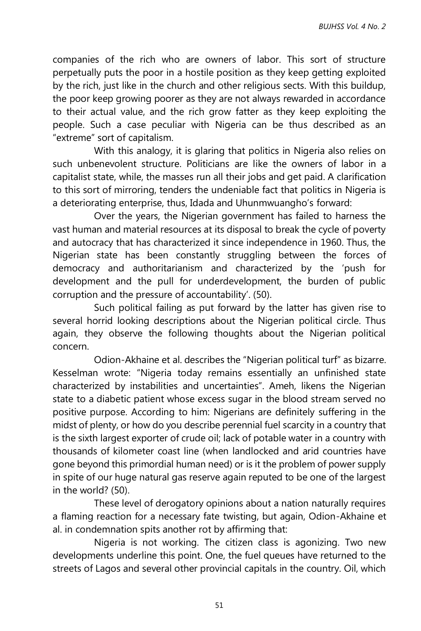companies of the rich who are owners of labor. This sort of structure perpetually puts the poor in a hostile position as they keep getting exploited by the rich, just like in the church and other religious sects. With this buildup, the poor keep growing poorer as they are not always rewarded in accordance to their actual value, and the rich grow fatter as they keep exploiting the people. Such a case peculiar with Nigeria can be thus described as an "extreme" sort of capitalism.

With this analogy, it is glaring that politics in Nigeria also relies on such unbenevolent structure. Politicians are like the owners of labor in a capitalist state, while, the masses run all their jobs and get paid. A clarification to this sort of mirroring, tenders the undeniable fact that politics in Nigeria is a deteriorating enterprise, thus, Idada and Uhunmwuangho's forward:

Over the years, the Nigerian government has failed to harness the vast human and material resources at its disposal to break the cycle of poverty and autocracy that has characterized it since independence in 1960. Thus, the Nigerian state has been constantly struggling between the forces of democracy and authoritarianism and characterized by the 'push for development and the pull for underdevelopment, the burden of public corruption and the pressure of accountability'. (50).

Such political failing as put forward by the latter has given rise to several horrid looking descriptions about the Nigerian political circle. Thus again, they observe the following thoughts about the Nigerian political concern.

Odion-Akhaine et al. describes the "Nigerian political turf" as bizarre. Kesselman wrote: "Nigeria today remains essentially an unfinished state characterized by instabilities and uncertainties". Ameh, likens the Nigerian state to a diabetic patient whose excess sugar in the blood stream served no positive purpose. According to him: Nigerians are definitely suffering in the midst of plenty, or how do you describe perennial fuel scarcity in a country that is the sixth largest exporter of crude oil; lack of potable water in a country with thousands of kilometer coast line (when landlocked and arid countries have gone beyond this primordial human need) or is it the problem of power supply in spite of our huge natural gas reserve again reputed to be one of the largest in the world? (50).

These level of derogatory opinions about a nation naturally requires a flaming reaction for a necessary fate twisting, but again, Odion-Akhaine et al. in condemnation spits another rot by affirming that:

Nigeria is not working. The citizen class is agonizing. Two new developments underline this point. One, the fuel queues have returned to the streets of Lagos and several other provincial capitals in the country. Oil, which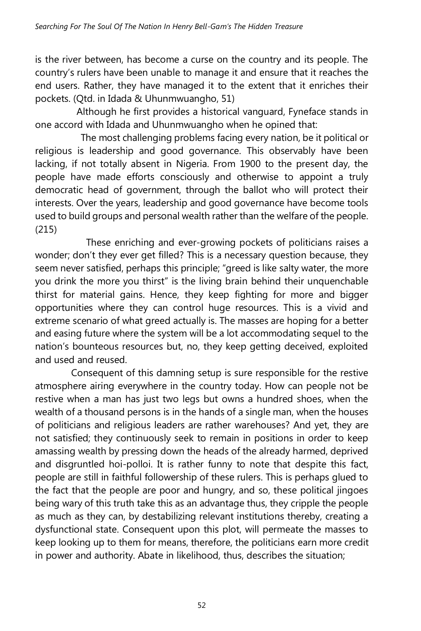is the river between, has become a curse on the country and its people. The country's rulers have been unable to manage it and ensure that it reaches the end users. Rather, they have managed it to the extent that it enriches their pockets. (Qtd. in Idada & Uhunmwuangho, 51)

Although he first provides a historical vanguard, Fyneface stands in one accord with Idada and Uhunmwuangho when he opined that:

 The most challenging problems facing every nation, be it political or religious is leadership and good governance. This observably have been lacking, if not totally absent in Nigeria. From 1900 to the present day, the people have made efforts consciously and otherwise to appoint a truly democratic head of government, through the ballot who will protect their interests. Over the years, leadership and good governance have become tools used to build groups and personal wealth rather than the welfare of the people. (215)

 These enriching and ever-growing pockets of politicians raises a wonder; don't they ever get filled? This is a necessary question because, they seem never satisfied, perhaps this principle; "greed is like salty water, the more you drink the more you thirst" is the living brain behind their unquenchable thirst for material gains. Hence, they keep fighting for more and bigger opportunities where they can control huge resources. This is a vivid and extreme scenario of what greed actually is. The masses are hoping for a better and easing future where the system will be a lot accommodating sequel to the nation's bounteous resources but, no, they keep getting deceived, exploited and used and reused.

Consequent of this damning setup is sure responsible for the restive atmosphere airing everywhere in the country today. How can people not be restive when a man has just two legs but owns a hundred shoes, when the wealth of a thousand persons is in the hands of a single man, when the houses of politicians and religious leaders are rather warehouses? And yet, they are not satisfied; they continuously seek to remain in positions in order to keep amassing wealth by pressing down the heads of the already harmed, deprived and disgruntled hoi-polloi. It is rather funny to note that despite this fact, people are still in faithful followership of these rulers. This is perhaps glued to the fact that the people are poor and hungry, and so, these political jingoes being wary of this truth take this as an advantage thus, they cripple the people as much as they can, by destabilizing relevant institutions thereby, creating a dysfunctional state. Consequent upon this plot, will permeate the masses to keep looking up to them for means, therefore, the politicians earn more credit in power and authority. Abate in likelihood, thus, describes the situation;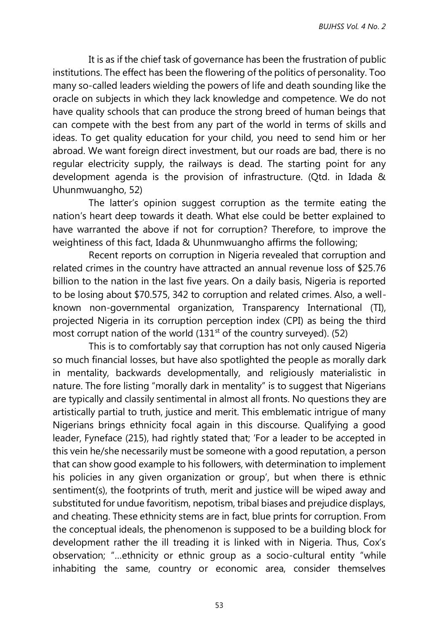It is as if the chief task of governance has been the frustration of public institutions. The effect has been the flowering of the politics of personality. Too many so-called leaders wielding the powers of life and death sounding like the oracle on subjects in which they lack knowledge and competence. We do not have quality schools that can produce the strong breed of human beings that can compete with the best from any part of the world in terms of skills and ideas. To get quality education for your child, you need to send him or her abroad. We want foreign direct investment, but our roads are bad, there is no regular electricity supply, the railways is dead. The starting point for any development agenda is the provision of infrastructure. (Qtd. in Idada & Uhunmwuangho, 52)

The latter's opinion suggest corruption as the termite eating the nation's heart deep towards it death. What else could be better explained to have warranted the above if not for corruption? Therefore, to improve the weightiness of this fact, Idada & Uhunmwuangho affirms the following;

Recent reports on corruption in Nigeria revealed that corruption and related crimes in the country have attracted an annual revenue loss of \$25.76 billion to the nation in the last five years. On a daily basis, Nigeria is reported to be losing about \$70.575, 342 to corruption and related crimes. Also, a wellknown non-governmental organization, Transparency International (TI), projected Nigeria in its corruption perception index (CPI) as being the third most corrupt nation of the world  $(131<sup>st</sup>$  of the country surveyed). (52)

This is to comfortably say that corruption has not only caused Nigeria so much financial losses, but have also spotlighted the people as morally dark in mentality, backwards developmentally, and religiously materialistic in nature. The fore listing "morally dark in mentality" is to suggest that Nigerians are typically and classily sentimental in almost all fronts. No questions they are artistically partial to truth, justice and merit. This emblematic intrigue of many Nigerians brings ethnicity focal again in this discourse. Qualifying a good leader, Fyneface (215), had rightly stated that; 'For a leader to be accepted in this vein he/she necessarily must be someone with a good reputation, a person that can show good example to his followers, with determination to implement his policies in any given organization or group', but when there is ethnic sentiment(s), the footprints of truth, merit and justice will be wiped away and substituted for undue favoritism, nepotism, tribal biases and prejudice displays, and cheating. These ethnicity stems are in fact, blue prints for corruption. From the conceptual ideals, the phenomenon is supposed to be a building block for development rather the ill treading it is linked with in Nigeria. Thus, Cox's observation; "…ethnicity or ethnic group as a socio-cultural entity "while inhabiting the same, country or economic area, consider themselves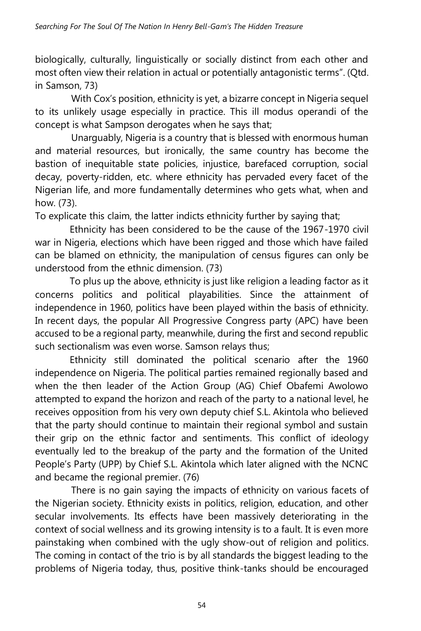biologically, culturally, linguistically or socially distinct from each other and most often view their relation in actual or potentially antagonistic terms". (Qtd. in Samson, 73)

With Cox's position, ethnicity is yet, a bizarre concept in Nigeria sequel to its unlikely usage especially in practice. This ill modus operandi of the concept is what Sampson derogates when he says that;

Unarguably, Nigeria is a country that is blessed with enormous human and material resources, but ironically, the same country has become the bastion of inequitable state policies, injustice, barefaced corruption, social decay, poverty-ridden, etc. where ethnicity has pervaded every facet of the Nigerian life, and more fundamentally determines who gets what, when and how. (73).

To explicate this claim, the latter indicts ethnicity further by saying that;

Ethnicity has been considered to be the cause of the 1967-1970 civil war in Nigeria, elections which have been rigged and those which have failed can be blamed on ethnicity, the manipulation of census figures can only be understood from the ethnic dimension. (73)

To plus up the above, ethnicity is just like religion a leading factor as it concerns politics and political playabilities. Since the attainment of independence in 1960, politics have been played within the basis of ethnicity. In recent days, the popular All Progressive Congress party (APC) have been accused to be a regional party, meanwhile, during the first and second republic such sectionalism was even worse. Samson relays thus;

Ethnicity still dominated the political scenario after the 1960 independence on Nigeria. The political parties remained regionally based and when the then leader of the Action Group (AG) Chief Obafemi Awolowo attempted to expand the horizon and reach of the party to a national level, he receives opposition from his very own deputy chief S.L. Akintola who believed that the party should continue to maintain their regional symbol and sustain their grip on the ethnic factor and sentiments. This conflict of ideology eventually led to the breakup of the party and the formation of the United People's Party (UPP) by Chief S.L. Akintola which later aligned with the NCNC and became the regional premier. (76)

There is no gain saying the impacts of ethnicity on various facets of the Nigerian society. Ethnicity exists in politics, religion, education, and other secular involvements. Its effects have been massively deteriorating in the context of social wellness and its growing intensity is to a fault. It is even more painstaking when combined with the ugly show-out of religion and politics. The coming in contact of the trio is by all standards the biggest leading to the problems of Nigeria today, thus, positive think-tanks should be encouraged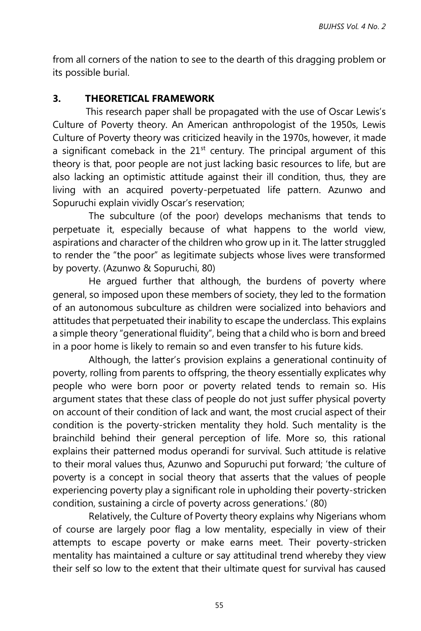from all corners of the nation to see to the dearth of this dragging problem or its possible burial.

## **3. THEORETICAL FRAMEWORK**

 This research paper shall be propagated with the use of Oscar Lewis's Culture of Poverty theory. An American anthropologist of the 1950s, Lewis Culture of Poverty theory was criticized heavily in the 1970s, however, it made a significant comeback in the  $21<sup>st</sup>$  century. The principal argument of this theory is that, poor people are not just lacking basic resources to life, but are also lacking an optimistic attitude against their ill condition, thus, they are living with an acquired poverty-perpetuated life pattern. Azunwo and Sopuruchi explain vividly Oscar's reservation;

The subculture (of the poor) develops mechanisms that tends to perpetuate it, especially because of what happens to the world view, aspirations and character of the children who grow up in it. The latter struggled to render the "the poor" as legitimate subjects whose lives were transformed by poverty. (Azunwo & Sopuruchi, 80)

He argued further that although, the burdens of poverty where general, so imposed upon these members of society, they led to the formation of an autonomous subculture as children were socialized into behaviors and attitudes that perpetuated their inability to escape the underclass. This explains a simple theory "generational fluidity", being that a child who is born and breed in a poor home is likely to remain so and even transfer to his future kids.

Although, the latter's provision explains a generational continuity of poverty, rolling from parents to offspring, the theory essentially explicates why people who were born poor or poverty related tends to remain so. His argument states that these class of people do not just suffer physical poverty on account of their condition of lack and want, the most crucial aspect of their condition is the poverty-stricken mentality they hold. Such mentality is the brainchild behind their general perception of life. More so, this rational explains their patterned modus operandi for survival. Such attitude is relative to their moral values thus, Azunwo and Sopuruchi put forward; 'the culture of poverty is a concept in social theory that asserts that the values of people experiencing poverty play a significant role in upholding their poverty-stricken condition, sustaining a circle of poverty across generations.' (80)

Relatively, the Culture of Poverty theory explains why Nigerians whom of course are largely poor flag a low mentality, especially in view of their attempts to escape poverty or make earns meet. Their poverty-stricken mentality has maintained a culture or say attitudinal trend whereby they view their self so low to the extent that their ultimate quest for survival has caused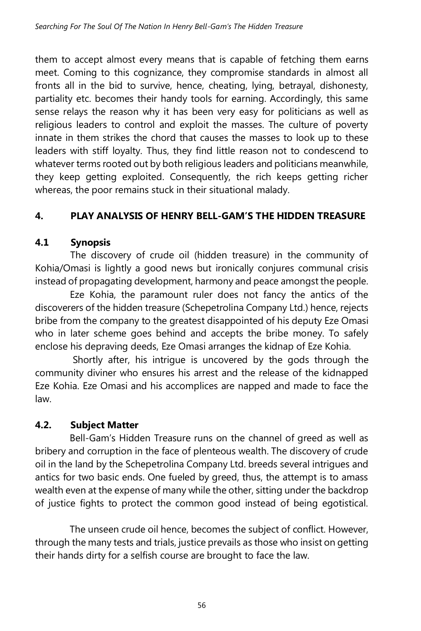them to accept almost every means that is capable of fetching them earns meet. Coming to this cognizance, they compromise standards in almost all fronts all in the bid to survive, hence, cheating, lying, betrayal, dishonesty, partiality etc. becomes their handy tools for earning. Accordingly, this same sense relays the reason why it has been very easy for politicians as well as religious leaders to control and exploit the masses. The culture of poverty innate in them strikes the chord that causes the masses to look up to these leaders with stiff loyalty. Thus, they find little reason not to condescend to whatever terms rooted out by both religious leaders and politicians meanwhile, they keep getting exploited. Consequently, the rich keeps getting richer whereas, the poor remains stuck in their situational malady.

# **4. PLAY ANALYSIS OF HENRY BELL-GAM'S THE HIDDEN TREASURE**

# **4.1 Synopsis**

The discovery of crude oil (hidden treasure) in the community of Kohia/Omasi is lightly a good news but ironically conjures communal crisis instead of propagating development, harmony and peace amongst the people.

 Eze Kohia, the paramount ruler does not fancy the antics of the discoverers of the hidden treasure (Schepetrolina Company Ltd.) hence, rejects bribe from the company to the greatest disappointed of his deputy Eze Omasi who in later scheme goes behind and accepts the bribe money. To safely enclose his depraving deeds, Eze Omasi arranges the kidnap of Eze Kohia.

 Shortly after, his intrigue is uncovered by the gods through the community diviner who ensures his arrest and the release of the kidnapped Eze Kohia. Eze Omasi and his accomplices are napped and made to face the law.

# **4.2. Subject Matter**

Bell-Gam's Hidden Treasure runs on the channel of greed as well as bribery and corruption in the face of plenteous wealth. The discovery of crude oil in the land by the Schepetrolina Company Ltd. breeds several intrigues and antics for two basic ends. One fueled by greed, thus, the attempt is to amass wealth even at the expense of many while the other, sitting under the backdrop of justice fights to protect the common good instead of being egotistical.

The unseen crude oil hence, becomes the subject of conflict. However, through the many tests and trials, justice prevails as those who insist on getting their hands dirty for a selfish course are brought to face the law.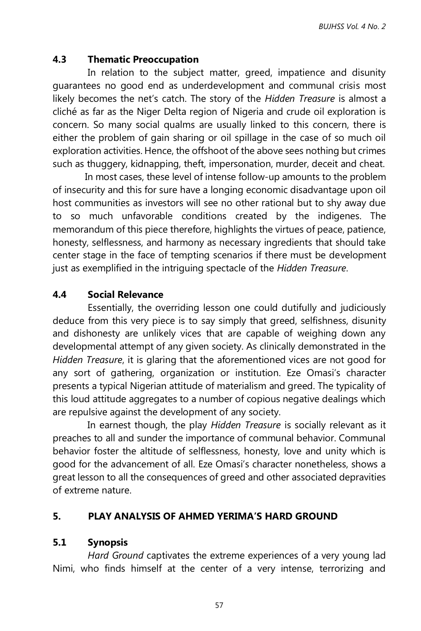## **4.3 Thematic Preoccupation**

In relation to the subject matter, greed, impatience and disunity guarantees no good end as underdevelopment and communal crisis most likely becomes the net's catch. The story of the *Hidden Treasure* is almost a cliché as far as the Niger Delta region of Nigeria and crude oil exploration is concern. So many social qualms are usually linked to this concern, there is either the problem of gain sharing or oil spillage in the case of so much oil exploration activities. Hence, the offshoot of the above sees nothing but crimes such as thuggery, kidnapping, theft, impersonation, murder, deceit and cheat.

 In most cases, these level of intense follow-up amounts to the problem of insecurity and this for sure have a longing economic disadvantage upon oil host communities as investors will see no other rational but to shy away due to so much unfavorable conditions created by the indigenes. The memorandum of this piece therefore, highlights the virtues of peace, patience, honesty, selflessness, and harmony as necessary ingredients that should take center stage in the face of tempting scenarios if there must be development just as exemplified in the intriguing spectacle of the *Hidden Treasure*.

## **4.4 Social Relevance**

Essentially, the overriding lesson one could dutifully and judiciously deduce from this very piece is to say simply that greed, selfishness, disunity and dishonesty are unlikely vices that are capable of weighing down any developmental attempt of any given society. As clinically demonstrated in the *Hidden Treasure*, it is glaring that the aforementioned vices are not good for any sort of gathering, organization or institution. Eze Omasi's character presents a typical Nigerian attitude of materialism and greed. The typicality of this loud attitude aggregates to a number of copious negative dealings which are repulsive against the development of any society.

 In earnest though, the play *Hidden Treasure* is socially relevant as it preaches to all and sunder the importance of communal behavior. Communal behavior foster the altitude of selflessness, honesty, love and unity which is good for the advancement of all. Eze Omasi's character nonetheless, shows a great lesson to all the consequences of greed and other associated depravities of extreme nature.

### **5. PLAY ANALYSIS OF AHMED YERIMA'S HARD GROUND**

### **5.1 Synopsis**

*Hard Ground* captivates the extreme experiences of a very young lad Nimi, who finds himself at the center of a very intense, terrorizing and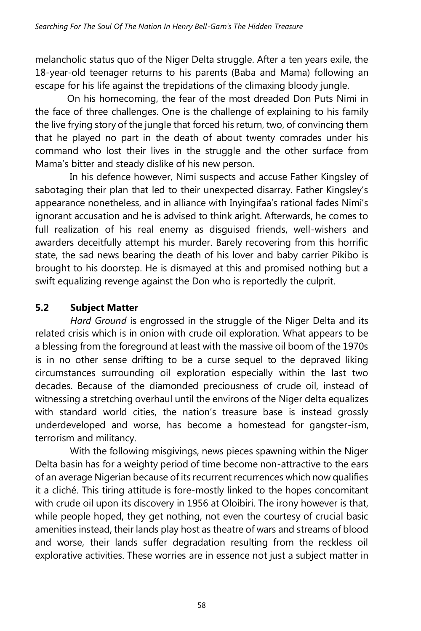melancholic status quo of the Niger Delta struggle. After a ten years exile, the 18-year-old teenager returns to his parents (Baba and Mama) following an escape for his life against the trepidations of the climaxing bloody jungle.

 On his homecoming, the fear of the most dreaded Don Puts Nimi in the face of three challenges. One is the challenge of explaining to his family the live frying story of the jungle that forced his return, two, of convincing them that he played no part in the death of about twenty comrades under his command who lost their lives in the struggle and the other surface from Mama's bitter and steady dislike of his new person.

In his defence however, Nimi suspects and accuse Father Kingsley of sabotaging their plan that led to their unexpected disarray. Father Kingsley's appearance nonetheless, and in alliance with Inyingifaa's rational fades Nimi's ignorant accusation and he is advised to think aright. Afterwards, he comes to full realization of his real enemy as disguised friends, well-wishers and awarders deceitfully attempt his murder. Barely recovering from this horrific state, the sad news bearing the death of his lover and baby carrier Pikibo is brought to his doorstep. He is dismayed at this and promised nothing but a swift equalizing revenge against the Don who is reportedly the culprit.

# **5.2 Subject Matter**

*Hard Ground* is engrossed in the struggle of the Niger Delta and its related crisis which is in onion with crude oil exploration. What appears to be a blessing from the foreground at least with the massive oil boom of the 1970s is in no other sense drifting to be a curse sequel to the depraved liking circumstances surrounding oil exploration especially within the last two decades. Because of the diamonded preciousness of crude oil, instead of witnessing a stretching overhaul until the environs of the Niger delta equalizes with standard world cities, the nation's treasure base is instead grossly underdeveloped and worse, has become a homestead for gangster-ism, terrorism and militancy.

 With the following misgivings, news pieces spawning within the Niger Delta basin has for a weighty period of time become non-attractive to the ears of an average Nigerian because of its recurrent recurrences which now qualifies it a cliché. This tiring attitude is fore-mostly linked to the hopes concomitant with crude oil upon its discovery in 1956 at Oloibiri. The irony however is that, while people hoped, they get nothing, not even the courtesy of crucial basic amenities instead, their lands play host as theatre of wars and streams of blood and worse, their lands suffer degradation resulting from the reckless oil explorative activities. These worries are in essence not just a subject matter in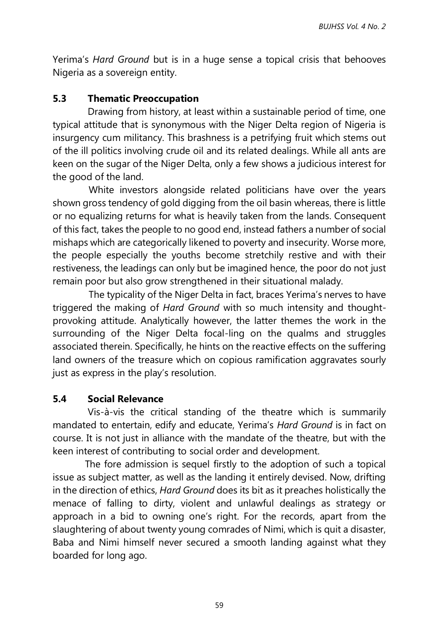Yerima's *Hard Ground* but is in a huge sense a topical crisis that behooves Nigeria as a sovereign entity.

### **5.3 Thematic Preoccupation**

Drawing from history, at least within a sustainable period of time, one typical attitude that is synonymous with the Niger Delta region of Nigeria is insurgency cum militancy. This brashness is a petrifying fruit which stems out of the ill politics involving crude oil and its related dealings. While all ants are keen on the sugar of the Niger Delta, only a few shows a judicious interest for the good of the land.

White investors alongside related politicians have over the years shown gross tendency of gold digging from the oil basin whereas, there is little or no equalizing returns for what is heavily taken from the lands. Consequent of this fact, takes the people to no good end, instead fathers a number of social mishaps which are categorically likened to poverty and insecurity. Worse more, the people especially the youths become stretchily restive and with their restiveness, the leadings can only but be imagined hence, the poor do not just remain poor but also grow strengthened in their situational malady.

The typicality of the Niger Delta in fact, braces Yerima's nerves to have triggered the making of *Hard Ground* with so much intensity and thoughtprovoking attitude. Analytically however, the latter themes the work in the surrounding of the Niger Delta focal-ling on the qualms and struggles associated therein. Specifically, he hints on the reactive effects on the suffering land owners of the treasure which on copious ramification aggravates sourly just as express in the play's resolution.

### **5.4 Social Relevance**

Vis-à-vis the critical standing of the theatre which is summarily mandated to entertain, edify and educate, Yerima's *Hard Ground* is in fact on course. It is not just in alliance with the mandate of the theatre, but with the keen interest of contributing to social order and development.

 The fore admission is sequel firstly to the adoption of such a topical issue as subject matter, as well as the landing it entirely devised. Now, drifting in the direction of ethics, *Hard Ground* does its bit as it preaches holistically the menace of falling to dirty, violent and unlawful dealings as strategy or approach in a bid to owning one's right. For the records, apart from the slaughtering of about twenty young comrades of Nimi, which is quit a disaster, Baba and Nimi himself never secured a smooth landing against what they boarded for long ago.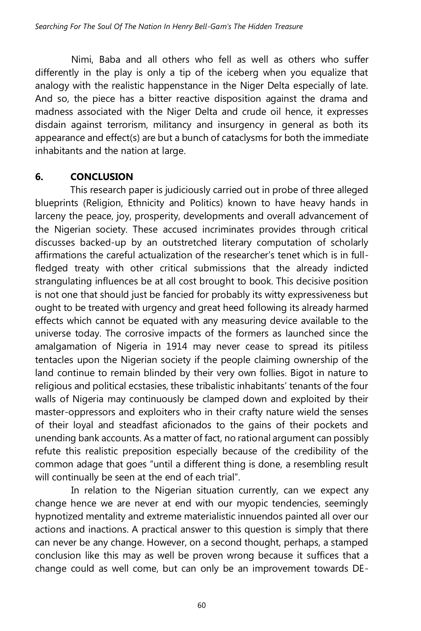Nimi, Baba and all others who fell as well as others who suffer differently in the play is only a tip of the iceberg when you equalize that analogy with the realistic happenstance in the Niger Delta especially of late. And so, the piece has a bitter reactive disposition against the drama and madness associated with the Niger Delta and crude oil hence, it expresses disdain against terrorism, militancy and insurgency in general as both its appearance and effect(s) are but a bunch of cataclysms for both the immediate inhabitants and the nation at large.

## **6. CONCLUSION**

This research paper is judiciously carried out in probe of three alleged blueprints (Religion, Ethnicity and Politics) known to have heavy hands in larceny the peace, joy, prosperity, developments and overall advancement of the Nigerian society. These accused incriminates provides through critical discusses backed-up by an outstretched literary computation of scholarly affirmations the careful actualization of the researcher's tenet which is in fullfledged treaty with other critical submissions that the already indicted strangulating influences be at all cost brought to book. This decisive position is not one that should just be fancied for probably its witty expressiveness but ought to be treated with urgency and great heed following its already harmed effects which cannot be equated with any measuring device available to the universe today. The corrosive impacts of the formers as launched since the amalgamation of Nigeria in 1914 may never cease to spread its pitiless tentacles upon the Nigerian society if the people claiming ownership of the land continue to remain blinded by their very own follies. Bigot in nature to religious and political ecstasies, these tribalistic inhabitants' tenants of the four walls of Nigeria may continuously be clamped down and exploited by their master-oppressors and exploiters who in their crafty nature wield the senses of their loyal and steadfast aficionados to the gains of their pockets and unending bank accounts. As a matter of fact, no rational argument can possibly refute this realistic preposition especially because of the credibility of the common adage that goes "until a different thing is done, a resembling result will continually be seen at the end of each trial".

In relation to the Nigerian situation currently, can we expect any change hence we are never at end with our myopic tendencies, seemingly hypnotized mentality and extreme materialistic innuendos painted all over our actions and inactions. A practical answer to this question is simply that there can never be any change. However, on a second thought, perhaps, a stamped conclusion like this may as well be proven wrong because it suffices that a change could as well come, but can only be an improvement towards DE-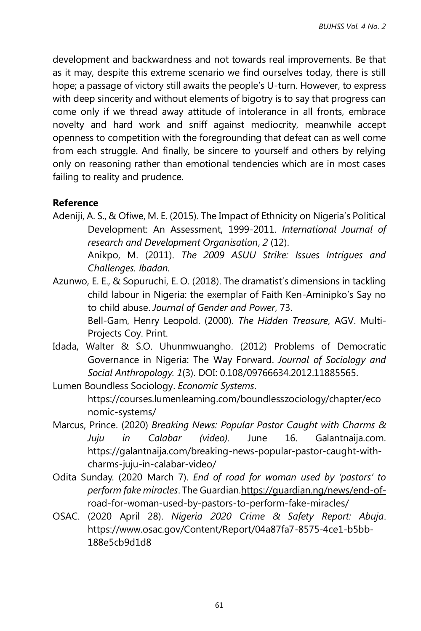development and backwardness and not towards real improvements. Be that as it may, despite this extreme scenario we find ourselves today, there is still hope; a passage of victory still awaits the people's U-turn. However, to express with deep sincerity and without elements of bigotry is to say that progress can come only if we thread away attitude of intolerance in all fronts, embrace novelty and hard work and sniff against mediocrity, meanwhile accept openness to competition with the foregrounding that defeat can as well come from each struggle. And finally, be sincere to yourself and others by relying only on reasoning rather than emotional tendencies which are in most cases failing to reality and prudence.

### **Reference**

Adeniji, A. S., & Ofiwe, M. E. (2015). The Impact of Ethnicity on Nigeria's Political Development: An Assessment, 1999-2011. *International Journal of research and Development Organisation*, *2* (12).

Anikpo, M. (2011). *The 2009 ASUU Strike: Issues Intrigues and Challenges. Ibadan.*

- Azunwo, E. E., & Sopuruchi, E. O. (2018). The dramatist's dimensions in tackling child labour in Nigeria: the exemplar of Faith Ken-Aminipko's Say no to child abuse. *Journal of Gender and Power*, 73. Bell-Gam, Henry Leopold. (2000). *The Hidden Treasure*, AGV. Multi-Projects Coy. Print.
- Idada, Walter & S.O. Uhunmwuangho. (2012) Problems of Democratic Governance in Nigeria: The Way Forward. *Journal of Sociology and Social Anthropology. 1*(3). DOI: 0.108/09766634.2012.11885565.
- Lumen Boundless Sociology. *Economic Systems*. https://courses.lumenlearning.com/boundlesszociology/chapter/eco nomic-systems/
- Marcus, [Prince.](https://galantnaija.com/author/chibyke/) (2020) *Breaking News: Popular Pastor Caught with Charms & Juju in Calabar (video).* June 16. Galantnaija.com. https://galantnaija.com/breaking-news-popular-pastor-caught-withcharms-juju-in-calabar-video/
- Odita Sunday. (2020 March 7). *End of road for woman used by 'pastors' to perform fake miracles*. The Guardia[n.https://guardian.ng/news/end-of](https://guardian.ng/news/end-of-road-for-woman-used-by-pastors-to-perform-fake-miracles/)[road-for-woman-used-by-pastors-to-perform-fake-miracles/](https://guardian.ng/news/end-of-road-for-woman-used-by-pastors-to-perform-fake-miracles/)
- OSAC. (2020 April 28). *Nigeria 2020 Crime & Safety Report: Abuja*. [https://www.osac.gov/Content/Report/04a87fa7-8575-4ce1-b5bb-](https://www.osac.gov/Content/Report/04a87fa7-8575-4ce1-b5bb-188e5cb9d1d8)[188e5cb9d1d8](https://www.osac.gov/Content/Report/04a87fa7-8575-4ce1-b5bb-188e5cb9d1d8)